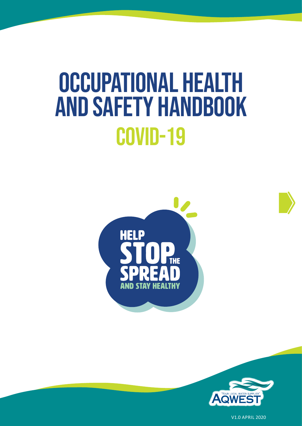# Occupational Health and Safety Handbook COVID-19







V1.0 APRIL 2020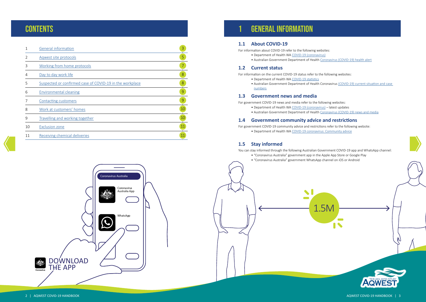### **CONTENTS**

|    | <b>General information</b>                               | 3              |
|----|----------------------------------------------------------|----------------|
| 2  | Agwest site protocols                                    | 5              |
| 3  | Working from home protocols                              | $\overline{7}$ |
| 4  | Day to day work life                                     | 8              |
| 5  | Suspected or confirmed case of COVID-19 in the workplace | 8              |
| 6  | <b>Environmental cleaning</b>                            | 9              |
|    | Contacting customers                                     | 9              |
| 8  | Work at customers' homes                                 | 10             |
| 9  | Travelling and working together                          | 10             |
| 10 | <b>Exclusion zone</b>                                    | 11             |
| 11 | Receiving chemical deliveries                            | 11             |

g Keeping Keeping Keeping Keeping Keeping Keeping Keeping Keeping Keeping Keeping Keeping Keeping Keeping Keep<br>Keeping Keeping<br>Keeping Keeping Keeping Keeping Keeping Keeping Keeping Keeping Keeping Keeping Keeping Keeping mation about COVID-19 refer to the following websites:<br>• Department of Health WA <u>COVID-19 (coronavirus)</u><br>• Australian Government Department of Health <u>[Coronavirus \(COVID-19\) health alert](https://www.health.gov.au/news/health-alerts/novel-coronavirus-2019-ncov-health-alert)</u> For information about COVID-19 refer to the following websites: • Department of Health WA [COVID-19 \(coronavirus\)](https://ww2.health.wa.gov.au/Articles/A_E/Coronavirus)

- 
- 

• Australian Government Department of Health [Coronavirus \(COVID-19\) news and media](https://www.health.gov.au/news/health-alerts/novel-coronavirus-2019-ncov-health-alert/coronavirus-covid-19-news-and-media) For government COVID-19 news and media refer to the following websites: • Department of Health WA [COVID-19 \(coronavirus\)](https://ww2.health.wa.gov.au/Articles/A_E/Coronavirus) – latest updates

- 
- 

#### 1.4 Government community advice and restrictions

# 1 General information

#### **1.1 About COVID-19**

#### **1.2 Current status**

For information on the current COVID-19 status refer to the following websites:



- Department of Health WA [COVID-19 statistics](https://ww2.health.wa.gov.au/Articles/A_E/Coronavirus/COVID19-statistics)
- Australian Government Department of Health Coronavirus (COVID-19) current situation and case  $\rho_{\text{max}}$  is the state stay 1.5 metric stay 1.5 metric good practice good practice good practice good practice good practice good practice good practice good practice good practice good practice good practice good practi [numbers](https://www.health.gov.au/news/health-alerts/novel-coronavirus-2019-ncov-health-alert/coronavirus-covid-19-current-situation-and-case-numbers)

#### **1.3** Government news and media

1.5M 1.5M

- 
- 

For government COVID-19 community advice and restrictions refer to the following website: • Department of Health WA [COVID-19 coronavirus: Community advice](https://www.wa.gov.au/organisation/department-of-the-premier-and-cabinet/covid-19-coronavirus-community-advice)

### **1.5 Stay informed**

You can stay informed through the following Australian Government COVID-19 app and WhatsApp channel: • "Coronavirus Australia" government app in the Apple App Store or Google Play • "Coronavirus Australia" government WhatsApp channel on iOS or Android

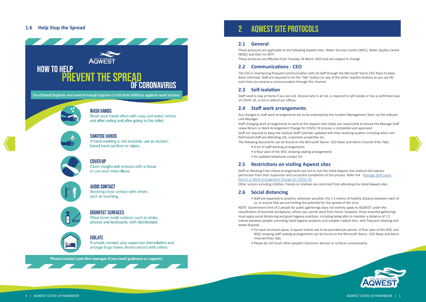#### <span id="page-2-0"></span>**1.6 Help Stop the Spread**



Wash your hands often with soap and water, before and after eating and after going to the toilet.



#### **SANITISE HANDS**

If hand washing is not available, use an alcoholbased hand sanitiser or wipes.



#### **COVER UP**

Cover coughs and sneezes with a tissue or use your inner elbow.



#### **AVOID CONTACT**

Avoiding close contact with others, such as touching.



#### **DISINFECT SURFACES**

Wipe down work surfaces such as desks, phones and keyboards, with disinfectant.



#### **ISOLATE**

If unwell, contact your supervisor immediately and arrange to go home. Avoid contact with others.

Please contact your line manager if you need guidance or support.

WQC showing staff seating arrangements can be found on the Microsoft Teams- CEO News and Alerts





### 2 Aqwest site protocols

#### **2.1 General**

These protocols are applicable to the following Aqwest sites - Water Services Centre (WSC), Water Quality Centre (WQC) and Glen Iris WTP. These protocols are effective from Tuesday 24 March 2020 and are subject to change.

#### **2.2 Communications - CEO**

Staff changing work arrangements to work at the Aqwest sites listed, are responsible to ensure the Manage Staff Leave Return or Work Arrangement Change for COVID-19 process is completed and approved. Staff are required to keep the Outlook Staff Calendar updated with their working location including when nonfield based staff are attending site, customers properties etc. The following documents can be found on the Microsoft Teams- CEO News and Alerts Channel (Files Tab):

The CEO is maintaining frequent communication with all staff through the Microsoft Teams CEO Team to keep them informed. Staff are required to hit the "like" button (or any of the other reaction buttons as you see fit) each time you receive a communication through this channel.

#### **2.3 Self-isolation**

Staff need to stay at home if you are sick. Anyone who is at risk, is required to self-isolate or has a confirmed case of COVID-19, is not to attend our offices.

#### **2.4 Staff work arrangements**

Any changes to staff work arrangements are to be endorsed by the Incident Management Team via the relevant Line Manager.

- A list of staff working arrangements
- A floor plan of the WSC showing seating arrangements
- An updated telephone contact list

#### **2.5 Restrictions on visiting Aqwest sites**

Staff on Working From Home arrangements are not to visit the listed Aqwest sites without the express permission from their Supervisor and successful completion of the process. Refer link - [Manage Staff Leave](https://au.promapp.com/aqwest/Process/Minimode/Permalink/HTjBQLtyqQpUcJeKMRTMO6)  [Return or Work Arrangement Change for COVID-19](https://au.promapp.com/aqwest/Process/Minimode/Permalink/HTjBQLtyqQpUcJeKMRTMO6). Other visitors including children, friends or relatives are restricted from attending the listed Aqwest sites.

#### **2.6 Social distancing**

• Staff are expected to practice, wherever possible, the 1.5 metres of healthy distance between each of us, to ensure that we are limiting the potential for the spread of the virus.

NOTE: Government limit of 2 people for public gatherings does not entirely apply to AQWEST under the classification of essential workplaces, where you cannot work from home. However, these essential gatherings must apply social distancing and good hygiene practices, including being able to maintain a distance of 1.5 metres between people; providing hand hygiene products and suitable rubbish bins, with frequent cleaning and waste disposal.

- For each enclosed space, 4 square metres are to be provided per person. A floor plan of the WSC and Channel (Files Tab).
- Please do not touch other people's electronic devices or surfaces unnecessarily.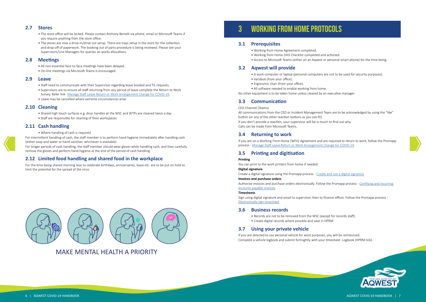#### <span id="page-3-0"></span>**2.7 Stores**

- The store office will be locked. Please contact Anthony Bertelli via phone, email or Microsoft Teams if you require anything from the store office.
- The stores are now a drive-in/drive out setup. There are trays setup in the store for the collection and drop-off of paperwork. The booking out of parts procedure is being reviewed. Please see your Supervisors/Line Managers for queries on works allocations.

#### **2.8 Meetings**

- All non-essential face-to-face meetings have been delayed.
- On-line meetings via Microsoft Teams is encouraged.

#### **2.9 Leave**

- Staff need to communicate with their Supervisor regarding leave booked and TIL requests.
- Supervisors are to ensure all staff returning from any period of leave complete the Return to Work Survey. Refer link- [Manage Staff Leave Return or Work Arrangement Change for COVID-19](https://au.promapp.com/aqwest/Process/Minimode/Permalink/HTjBQLtyqQpUcJeKMRTMO6).
- Leave may be cancelled where extreme circumstances arise.

#### **2.10 Cleaning**

- Shared high touch surfaces e.g. door handles at the WSC and WTPs are cleaned twice a day.
- Staff are responsible for cleaning of their workspaces.

#### **2.11 Cash handling**

• Where handling of cash is required

For intermittent handling of cash, the staff member is to perform hand hygiene immediately after handling cash (either soap and water or hand sanitiser, whichever is available).

For longer periods of cash handling, the staff member should wear gloves while handling cash, and then carefully remove the gloves and perform hand hygiene at the end of the period of cash handling.

#### **2.12 Limited food handling and shared food in the workplace**

For the time being shared morning teas to celebrate birthdays, anniversaries, leave etc. are to be put on hold to limit the potential for the spread of the virus.



## 3 Working from home protocols

#### **3.1 Prerequisites**

- Working from Home Agreement completed.
- Working from Home OHS Checklist completed and actioned.
- 

• Access to Microsoft Teams (either on an Aqwest or personal smart phone) for the time being.





#### **3.2 Aqwest will provide**

- A work computer or laptop (personal computers are not to be used for security purposes).
- Varidesk (from your office).
- Ergonomic chair (from your office).

• All software needed to enable working from home.

No other equipment is to be taken home unless cleared by an executive manager.

#### **3.3 Communication**

#### CEO Channel (Teams)

All communications from the CEO or Incident Management Team are to be acknowledged by using the "like" button (or any of the other reaction buttons as you see fit). If you don't provide a reaction, your supervisor will be in touch to find out why. Calls can be made from Microsoft Teams.

#### **3.4 Returning to work**

If you are on a Working From Home (WFH) Agreement and are required to return to work, follow the Promapp process - [Manage Staff Leave Return or Work Arrangement Change for COVID-19](https://au.promapp.com/aqwest/Process/Minimode/Permalink/HTjBQLtyqQpUcJeKMRTMO6).

#### **3.5 Printing and digitisation**

#### **Printing**

You can print to the work printers from home if needed. **Digital signature**

Create a digital signature using the Promapp process - [Create and use a digital signature](https://au.promapp.com/aqwest/Process/Minimode/Permalink/BVTWjVI1F5Yo3wgQZd9Ai2) **Invoices and purchase orders**

Authorise invoices and purchase orders electronically. Follow the Promapp process - [Certifying and incurring](https://au.promapp.com/aqwest/Process/Minimode/Permalink/E2EGWWYuqRySW4OHK84jvQ)  [accounts payable invoices](https://au.promapp.com/aqwest/Process/Minimode/Permalink/E2EGWWYuqRySW4OHK84jvQ)

#### **Timesheets**

Sign using digital signature and email to supervisor, then to finance officer. Follow the Promapp process - [Electronically sign timesheet](https://au.promapp.com/aqwest/Process/Minimode/Permalink/DZAN2pTbqmlsXnYoki5n1A)

#### **3.6 Business records**

- Records are not to be removed from the WSC (except for records staff).
- Create digital records where possible and save in HPRM.

#### **3.7 Using your private vehicle**

If you are directed to use personal vehicle for work purposes, you will be reimbursed. Complete a vehicle logbook and submit fortnightly with your timesheet. Logbook (HPRM link).

### MAKE MENTAL HEALTH A PRIORITY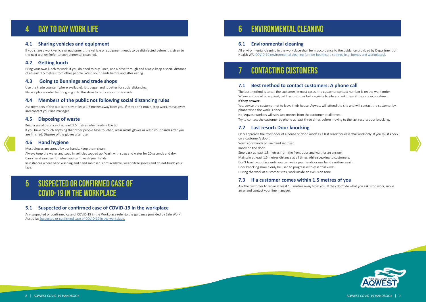### <span id="page-4-0"></span>4 Day to day work life

#### **4.1 Sharing vehicles and equipment**

If you share a work vehicle or equipment, the vehicle or equipment needs to be disinfected before it is given to the next worker (refer to environmental cleaning).

#### **4.2 Getting lunch**

Bring your own lunch to work. If you do need to buy lunch, use a drive through and always keep a social distance of at least 1.5 metres from other people. Wash your hands before and after eating.

#### **4.3 Going to Bunnings and trade shops**

Use the trade counter (where available): it is bigger and is better for social distancing. Place a phone order before going in to the store to reduce your time inside.

#### **4.4 Members of the public not following social distancing rules**

Ask members of the public to stay at least 1.5 metres away from you. If they don't move, stop work, move away and contact your line manager.

#### **4.5 Disposing of waste**

Keep a social distance of at least 1.5 metres when visiting the tip.

If you have to touch anything that other people have touched, wear nitrile gloves or wash your hands after you are finished. Dispose of the gloves after use.

#### **4.6 Hand hygiene**

Most viruses are spread by our hands. Keep them clean.

Always keep the water and soap in vehicles topped up. Wash with soap and water for 20 seconds and dry. Carry hand sanitiser for when you can't wash your hands.

In instances where hand washing and hand sanitiser is not available, wear nitrile gloves and do not touch your face.

### 5 Suspected or confirmed case of COVID-19 in the workplace

#### **5.1 Suspected or confirmed case of COVID-19 in the workplace**

Any suspected or confirmed case of COVID-19 in the Workplace refer to the guidance provided by Safe Work Australia: [Suspected or confirmed case of COVID-19 in the workplace.](https://www.safeworkaustralia.gov.au/sites/default/files/2020-04/Infographic-Suspected-or-Confirmed-Cases-COVID_19.pdf)

# 6 Environmental cleaning

#### **6.1 Environmental cleaning**

All environmental cleaning in the workplace shall be in accordance to the guidance provided by Department of Health WA: [COVID-19 environmental cleaning for non-healthcare settings \(e.g. homes and workplaces\).](https://ww2.health.wa.gov.au/~/media/Files/Corporate/general documents/Infectious diseases/PDF/Coronavirus/COVID19-Environmental-Cleaning-for-workplaces.pdf)

### CONTACTING CUSTOMERS

#### **7.1 Best method to contact customers: A phone call**

The best method is to call the customer. In most cases, the customer contact number is on the work order. Where a site visit is required, call the customer before going to site and ask them if they are in isolation. **If they answer:**

Yes, advise the customer not to leave their house. Aqwest will attend the site and will contact the customer by phone when the work is done.

No, Aqwest workers will stay two metres from the customer at all times. Try to contact the customer by phone at least three times before moving to the last resort: door knocking.

#### **7.2 Last resort: Door knocking**

Only approach the front door of a house or door knock as a last resort for essential work only. If you must knock on a customer's door:

Wash your hands or use hand sanitiser.

Knock on the door.

Step back at least 1.5 metres from the front door and wait for an answer. Maintain at least 1.5 metres distance at all times while speaking to customers. Don't touch your face until you can wash your hands or use hand sanitiser again. Door knocking should only be used to progress with essential work. During the work at customer sites, work inside an exclusion zone.

#### **7.3 If a customer comes within 1.5 metres of you**

Ask the customer to move at least 1.5 metres away from you. If they don't do what you ask, stop work, move away and contact your line manager.





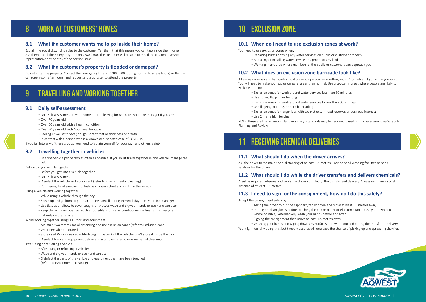### <span id="page-5-0"></span>8 Work at customers' homes

#### **8.1 What if a customer wants me to go inside their home?**

Explain the social distancing rules to the customer. Tell them that this means you can't go inside their home. Ask them to call the Emergency Line on 9780 9500. The customer will be able to email the customer service representative any photos of the service issue.

#### **8.2 What if a customer's property is flooded or damaged?**

Do not enter the property. Contact the Emergency Line on 9780 9500 (during normal business hours) or the oncall supervisor (after hours) and request a loss adjuster to attend the property.

### 9 Travelling and working together

#### **9.1 Daily self-assessment**

- Do a self-assessment at your home prior to leaving for work. Tell your line manager if you are:
- Over 70 years old
- Over 60 years old with a health condition
- Over 50 years old with Aboriginal heritage
- Feeling unwell with fever, cough, sore throat or shortness of breath
- In contact with a person who is a known or suspected case of COVID-19

If you fall into any of these groups, you need to isolate yourself for your own and others' safety.

#### **9.2 Travelling together in vehicles**

• Use one vehicle per person as often as possible. If you must travel together in one vehicle, manage the risk.

Before using a vehicle together

- Before you get into a vehicle together:
- Do a self-assessment
- Disinfect the vehicle and equipment (refer to Environmental Cleaning)
- Put tissues, hand sanitiser, rubbish bags, disinfectant and cloths in the vehicle

Using a vehicle and working together

- While using a vehicle through the day:
- Speak up and go home if you start to feel unwell during the work day tell your line manager
- Use tissues or elbow to cover coughs or sneezes wash and dry your hands or use hand sanitiser
- Keep the windows open as much as possible and use air conditioning on fresh air not recycle
- Eat outside the vehicle

While working together using PPE, tools and equipment:

- Maintain two metres social distancing and use exclusion zones (refer to Exclusion Zone)
- Wear PPE where required
- Store used PPE in a sealed rubbish bag in the back of the vehicle (don't store it inside the cabin)
- Disinfect tools and equipment before and after use (refer to environmental cleaning)

After using or refuelling a vehicle

- After using or refuelling a vehicle:
- Wash and dry your hands or use hand sanitiser
- Disinfect the parts of the vehicle and equipment that have been touched (refer to environmental cleaning)

### 10 Exclusion zone

#### **10.1 When do I need to use exclusion zones at work?**

You need to use exclusion zones when:

- Repairing bursts or fixing any water services on public or customer property
- Replacing or installing water service equipment of any kind
	- Working in any area where members of the public or customers can approach you

#### **10.2 What does an exclusion zone barricade look like?**

All exclusion zones and barricades must prevent a person from getting within 1.5 metres of you while you work. You will need to make your exclusion zone larger than normal. Use a spotter in areas where people are likely to walk past the job.

- Exclusion zones for work around water services less than 30 minutes:
- Use cones, flagging or bunting
- Exclusion zones for work around water services longer than 30 minutes:
- Use flagging, bunting, or hard barricading
- Exclusion zones for larger jobs with excavations, in road reserves or busy public areas:
- Use 2 metre high fencing

NOTE: these are the minimum standards - high standards may be required based on risk assessment via Safe Job Planning and Review.

# 11 Receiving chemical deliveries

#### **11.1 What should I do when the driver arrives?**

Ask the driver to maintain social distancing of at least 1.5 metres. Provide hand washing facilities or hand sanitiser for the driver.

### **11.2 What should I do while the driver transfers and delivers chemicals?**

Assist as required, observe and verify the driver completing the transfer and delivery. Always maintain a social distance of at least 1.5 metres.

### **11.3 I need to sign for the consignment, how do I do this safely?**

Accept the consignment safely by:

- Asking the driver to put the clipboard/tablet down and move at least 1.5 metres away
- Putting on clean gloves before touching the pen or paper or electronic tablet (use your own pen
- where possible). Alternatively, wash your hands before and after
- Signing the consignment then move at least 1.5 metres away
- 

You might feel silly doing this, but these measures will decrease the chance of picking up and spreading the virus.

• Washing your hands and wiping down any surfaces that were touched during the transfer or delivery